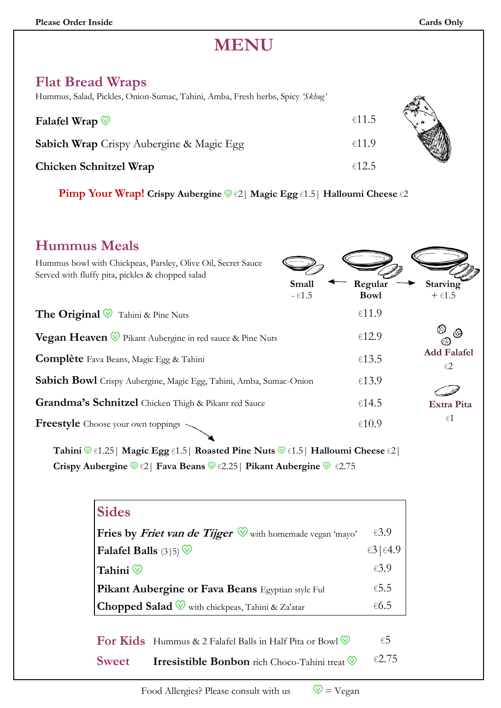## **MENU**

| <b>Flat Bread Wraps</b> |  |
|-------------------------|--|
|-------------------------|--|

Hummus, Salad, Pickles, Onion-Sumac, Tahini, Amba, Fresh herbs, Spicy *'Skhug'*

| Hummus, Salad, Pickles, Onion-Sumac, Tahini, Amba, Fresh herbs, Spicy <i>Skhug</i> |       |  |
|------------------------------------------------------------------------------------|-------|--|
| Falafel Wrap $\mathbb{V}$                                                          | €11.5 |  |
| <b>Sabich Wrap</b> Crispy Aubergine & Magic Egg                                    | €11.9 |  |
| <b>Chicken Schnitzel Wrap</b>                                                      | €12.5 |  |

**Pimp Your Wrap! Crispy Aubergine** g €2| **Magic Egg** €1.5| **Halloumi Cheese** €2

### **Hummus Meals**

| Hummus bowl with Chickpeas, Parsley, Olive Oil, Secret Sauce<br>Served with fluffy pita, pickles & chopped salad<br>Small | Regular            | <b>Starving</b>                       |
|---------------------------------------------------------------------------------------------------------------------------|--------------------|---------------------------------------|
| $ E1.5$                                                                                                                   | <b>Bowl</b>        | $+ \epsilon 1.5$                      |
| <b>The Original</b> $\mathcal{D}$ Tahini & Pine Nuts                                                                      | €11.9              |                                       |
| <b>Vegan Heaven</b> $\mathcal{D}$ Pikant Aubergine in red sauce & Pine Nuts                                               | €12.9              | ☺<br>69<br>C .                        |
| <b>Complète</b> Fava Beans, Magic Egg & Tahini                                                                            | €13.5              | <b>Add Falafel</b><br>$\varepsilon$ 2 |
| Sabich Bowl Crispy Aubergine, Magic Egg, Tahini, Amba, Sumac-Onion                                                        | €13.9              |                                       |
| Grandma's Schnitzel Chicken Thigh & Pikant red Sauce                                                                      | €14.5              | Extra Pita                            |
| <b>Freestyle</b> Choose your own toppings                                                                                 | $\varepsilon 10.9$ | $\epsilon 1$                          |
| <b>Sides</b>                                                                                                              |                    |                                       |
| Fries by Friet van de Tijger $\mathbb {V}$ with homemade vegan 'mayo'                                                     | £3.9               |                                       |
| Falafel Balls $(3 5)$                                                                                                     | €3   $€4.9$        |                                       |
| Tahini $\mathbb O$                                                                                                        | E3.9               |                                       |
| Pikant Aubergine or Fava Beans Egyptian style Ful                                                                         | €5.5               |                                       |
| <b>Chopped Salad</b> $\mathcal{D}$ with chickpeas, Tahini & Za'atar                                                       | €6.5               |                                       |
| <b>For Kids</b> Hummus & 2 Falafel Balls in Half Pita or Bowl $\heartsuit$                                                | $\epsilon$ 5       |                                       |
| <b>Sweet</b><br><b>Irresistible Bonbon</b> rich Choco-Tahini treat $\mathbb{V}$                                           | €2.75              |                                       |

Food Allergies? Please consult with us  $\heartsuit = \vee$ egan